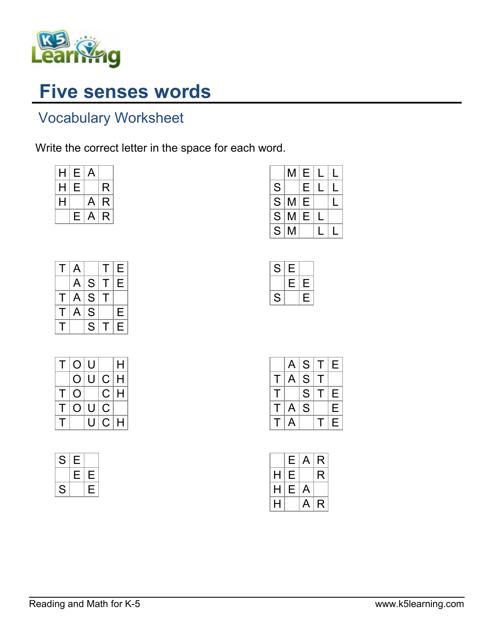

## Five senses words

## Vocabulary Worksheet

Write the correct letter in the space for each word.

| H | Е | A |   |
|---|---|---|---|
| н | Е |   | R |
| н |   | A | R |
|   | E | A | R |

| S<br>E<br>$\bar{s}$<br>E<br>M |  | Е | М |           |
|-------------------------------|--|---|---|-----------|
|                               |  |   |   |           |
|                               |  |   |   |           |
| M<br>E                        |  |   |   | $\bar{s}$ |
| $\bar{S}$<br>М                |  |   |   |           |

 $S$  E

 $E|E$  $S \mid E$ 

| Т | Α |   | Τ | Е |
|---|---|---|---|---|
|   | A | S | Т | Е |
| Τ | A | S | т |   |
| T | A | S |   | E |
| Т |   | S | т | Е |

| Τ            | O U |   |    | H |
|--------------|-----|---|----|---|
|              | O   | U | C. | H |
| T.           | O   |   | C. | Н |
| т            | O   | U | С  |   |
| $\mathbf{I}$ |     | U | C. | н |

|   | A | S | т | Е |
|---|---|---|---|---|
| Τ | A | S | т |   |
| т |   | S | т | Е |
| т | A | S |   | E |
| т | A |   |   | E |

|   | Е | A | R |
|---|---|---|---|
| H | Е |   | R |
| н | Е | А |   |
| н |   | А | R |

| S             |  |  |
|---------------|--|--|
|               |  |  |
| $\mathcal{L}$ |  |  |